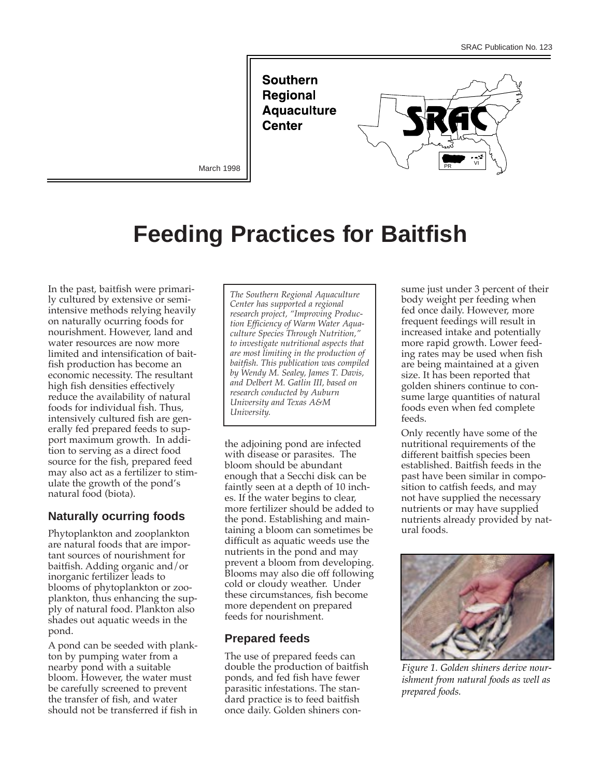**Southern Regional Aquaculture Center** 



March 1998

# **Feeding Practices for Baitfish**

In the past, baitfish were primarily cultured by extensive or semiintensive methods relying heavily on naturally ocurring foods for nourishment. However, land and water resources are now more limited and intensification of baitfish production has become an economic necessity. The resultant high fish densities effectively reduce the availability of natural foods for individual fish. Thus, intensively cultured fish are generally fed prepared feeds to support maximum growth. In addition to serving as a direct food source for the fish, prepared feed may also act as a fertilizer to stimulate the growth of the pond's natural food (biota).

# **Naturally ocurring foods**

Phytoplankton and zooplankton are natural foods that are important sources of nourishment for baitfish. Adding organic and/or inorganic fertilizer leads to blooms of phytoplankton or zooplankton, thus enhancing the supply of natural food. Plankton also shades out aquatic weeds in the pond.

A pond can be seeded with plankton by pumping water from a nearby pond with a suitable bloom. However, the water must be carefully screened to prevent the transfer of fish, and water should not be transferred if fish in

*The Southern Regional Aquaculture Center has supported a regional research project, "Improving Production Efficiency of Warm Water Aquaculture Species Through Nutrition," to investigate nutritional aspects that are most limiting in the production of baitfish. This publication was compiled by Wendy M. Sealey, James T. Davis, and Delbert M. Gatlin III, based on research conducted by Auburn University and Texas A&M University.*

the adjoining pond are infected with disease or parasites. The bloom should be abundant enough that a Secchi disk can be faintly seen at a depth of 10 inches. If the water begins to clear, more fertilizer should be added to the pond. Establishing and maintaining a bloom can sometimes be difficult as aquatic weeds use the nutrients in the pond and may prevent a bloom from developing. Blooms may also die off following cold or cloudy weather. Under these circumstances, fish become more dependent on prepared feeds for nourishment.

# **Prepared feeds**

The use of prepared feeds can double the production of baitfish ponds, and fed fish have fewer parasitic infestations. The standard practice is to feed baitfish once daily. Golden shiners consume just under 3 percent of their body weight per feeding when fed once daily. However, more frequent feedings will result in increased intake and potentially more rapid growth. Lower feeding rates may be used when fish are being maintained at a given size. It has been reported that golden shiners continue to consume large quantities of natural foods even when fed complete feeds.

Only recently have some of the nutritional requirements of the different baitfish species been established. Baitfish feeds in the past have been similar in composition to catfish feeds, and may not have supplied the necessary nutrients or may have supplied nutrients already provided by natural foods.



*Figure 1. Golden shiners derive nourishment from natural foods as well as prepared foods.*